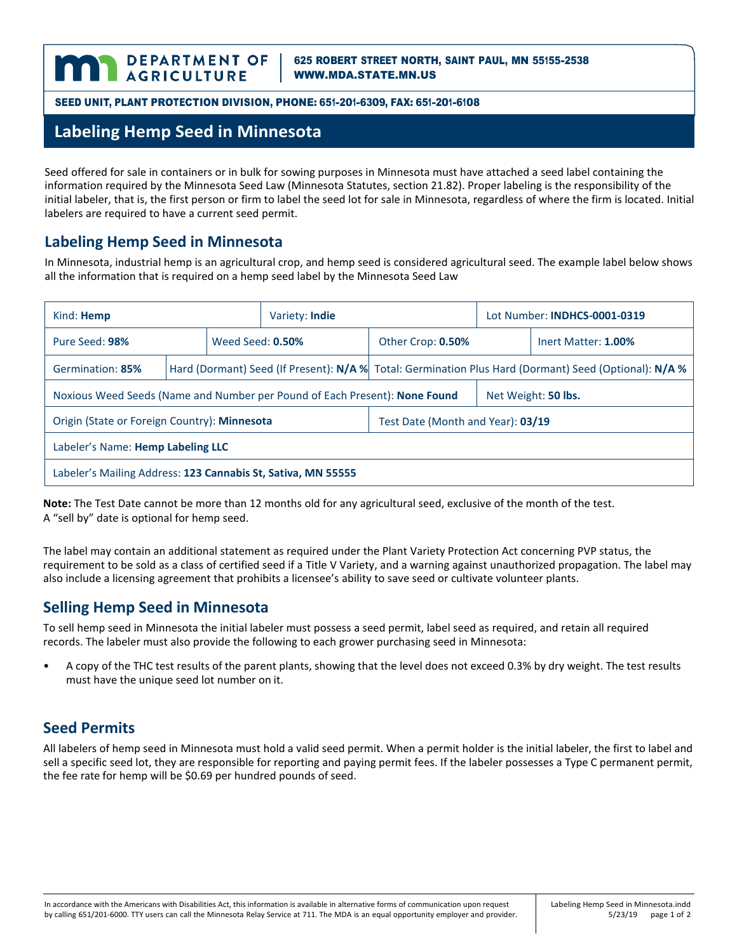625 ROBERT STREET NORTH, SAINT PAUL, MN 55155-2538 [WWW.MDA.STATE.MN.US](http://www.mda.state.mn.us/)

SEED UNIT, PLANT PROTECTION DIVISION, PHONE: 651-201-6309, FAX: 651-201-6108

# **Labeling Hemp Seed in Minnesota**

Seed offered for sale in containers or in bulk for sowing purposes in Minnesota must have attached a seed label containing the information required by the Minnesota Seed Law (Minnesota Statutes, section 21.82). Proper labeling is the responsibility of the initial labeler, that is, the first person or firm to label the seed lot for sale in Minnesota, regardless of where the firm is located. Initial labelers are required to have a current seed permit.

#### **Labeling Hemp Seed in Minnesota**

In Minnesota, industrial hemp is an agricultural crop, and hemp seed is considered agricultural seed. The example label below shows all the information that is required on a hemp seed label by the Minnesota Seed Law

| Kind: <b>Hemp</b>                                                          |  |                  | Variety: <b>Indie</b> |                                                                                                       | Lot Number: INDHCS-0001-0319 |                     |
|----------------------------------------------------------------------------|--|------------------|-----------------------|-------------------------------------------------------------------------------------------------------|------------------------------|---------------------|
| Pure Seed: 98%                                                             |  | Weed Seed: 0.50% |                       | Other Crop: 0.50%                                                                                     |                              | Inert Matter: 1.00% |
| Germination: 85%                                                           |  |                  |                       | Hard (Dormant) Seed (If Present): N/A % Total: Germination Plus Hard (Dormant) Seed (Optional): N/A % |                              |                     |
| Noxious Weed Seeds (Name and Number per Pound of Each Present): None Found |  |                  |                       |                                                                                                       | Net Weight: 50 lbs.          |                     |
| Origin (State or Foreign Country): Minnesota                               |  |                  |                       | Test Date (Month and Year): 03/19                                                                     |                              |                     |
| Labeler's Name: Hemp Labeling LLC                                          |  |                  |                       |                                                                                                       |                              |                     |
| Labeler's Mailing Address: 123 Cannabis St, Sativa, MN 55555               |  |                  |                       |                                                                                                       |                              |                     |

**Note:** The Test Date cannot be more than 12 months old for any agricultural seed, exclusive of the month of the test. A "sell by" date is optional for hemp seed.

The label may contain an additional statement as required under the Plant Variety Protection Act concerning PVP status, the requirement to be sold as a class of certified seed if a Title V Variety, and a warning against unauthorized propagation. The label may also include a licensing agreement that prohibits a licensee's ability to save seed or cultivate volunteer plants.

#### **Selling Hemp Seed in Minnesota**

To sell hemp seed in Minnesota the initial labeler must possess a seed permit, label seed as required, and retain all required records. The labeler must also provide the following to each grower purchasing seed in Minnesota:

• A copy of the THC test results of the parent plants, showing that the level does not exceed 0.3% by dry weight. The test results must have the unique seed lot number on it.

#### **Seed Permits**

All labelers of hemp seed in Minnesota must hold a valid seed permit. When a permit holder is the initial labeler, the first to label and sell a specific seed lot, they are responsible for reporting and paying permit fees. If the labeler possesses a Type C permanent permit, the fee rate for hemp will be \$0.69 per hundred pounds of seed.